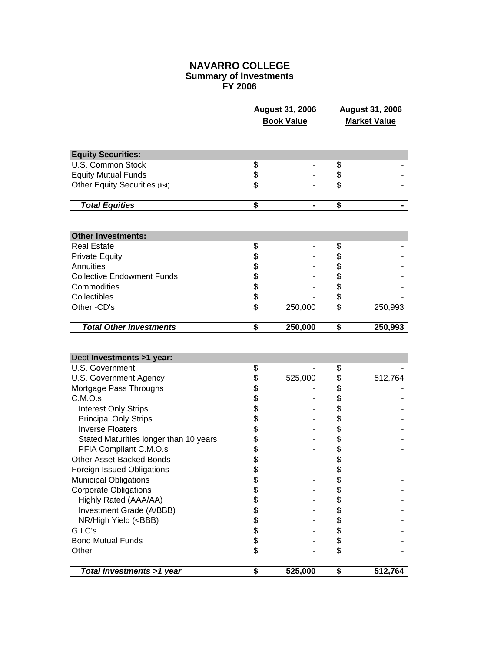## **NAVARRO COLLEGE Summary of Investments FY 2006**

|                                              | August 31, 2006<br><b>Book Value</b> |         | <b>August 31, 2006</b><br><b>Market Value</b> |         |
|----------------------------------------------|--------------------------------------|---------|-----------------------------------------------|---------|
| <b>Equity Securities:</b>                    |                                      |         |                                               |         |
| U.S. Common Stock                            | \$                                   |         | \$                                            |         |
| <b>Equity Mutual Funds</b>                   | \$                                   |         | \$                                            |         |
| <b>Other Equity Securities (list)</b>        | \$                                   |         | \$                                            |         |
| <b>Total Equities</b>                        | $\overline{\boldsymbol{s}}$          |         | \$                                            |         |
|                                              |                                      |         |                                               |         |
| <b>Other Investments:</b>                    |                                      |         |                                               |         |
| <b>Real Estate</b>                           | \$                                   |         | \$                                            |         |
| <b>Private Equity</b>                        | \$                                   |         | \$                                            |         |
| Annuities                                    |                                      |         | \$                                            |         |
| <b>Collective Endowment Funds</b>            | \$\$\$\$                             |         | \$                                            |         |
| Commodities                                  |                                      |         | \$                                            |         |
| Collectibles                                 |                                      |         | \$                                            |         |
| Other -CD's                                  | \$                                   | 250,000 | \$                                            | 250,993 |
| <b>Total Other Investments</b>               | \$                                   | 250,000 | \$                                            | 250,993 |
| Debt Investments >1 year:<br>U.S. Government | \$                                   |         | \$                                            |         |
| U.S. Government Agency                       | \$                                   | 525,000 | \$                                            | 512,764 |
| Mortgage Pass Throughs                       | \$                                   |         | \$                                            |         |
| C.M.O.s                                      | \$                                   |         | \$                                            |         |
| <b>Interest Only Strips</b>                  | \$                                   |         | \$                                            |         |
| <b>Principal Only Strips</b>                 | \$                                   |         | \$                                            |         |
| <b>Inverse Floaters</b>                      | \$                                   |         | \$                                            |         |
| Stated Maturities longer than 10 years       | \$                                   |         | \$                                            |         |
| PFIA Compliant C.M.O.s                       | \$                                   |         | \$                                            |         |
| Other Asset-Backed Bonds                     | \$                                   |         | \$                                            |         |
| Foreign Issued Obligations                   | \$                                   |         | \$                                            |         |
| <b>Municipal Obligations</b>                 | \$                                   |         | \$                                            |         |
| <b>Corporate Obligations</b>                 | \$                                   |         | \$                                            |         |
| Highly Rated (AAA/AA)                        |                                      |         | \$                                            |         |
| Investment Grade (A/BBB)                     |                                      |         | \$                                            |         |
| NR/High Yield ( <bbb)<br>G.I.C's</bbb)<br>   | \$\$\$\$\$                           |         | \$                                            |         |
| <b>Bond Mutual Funds</b>                     |                                      |         | \$                                            |         |
| Other                                        | \$                                   |         | \$<br>\$                                      |         |
|                                              |                                      |         |                                               |         |
| Total Investments >1 year                    | \$                                   | 525,000 | \$                                            | 512,764 |